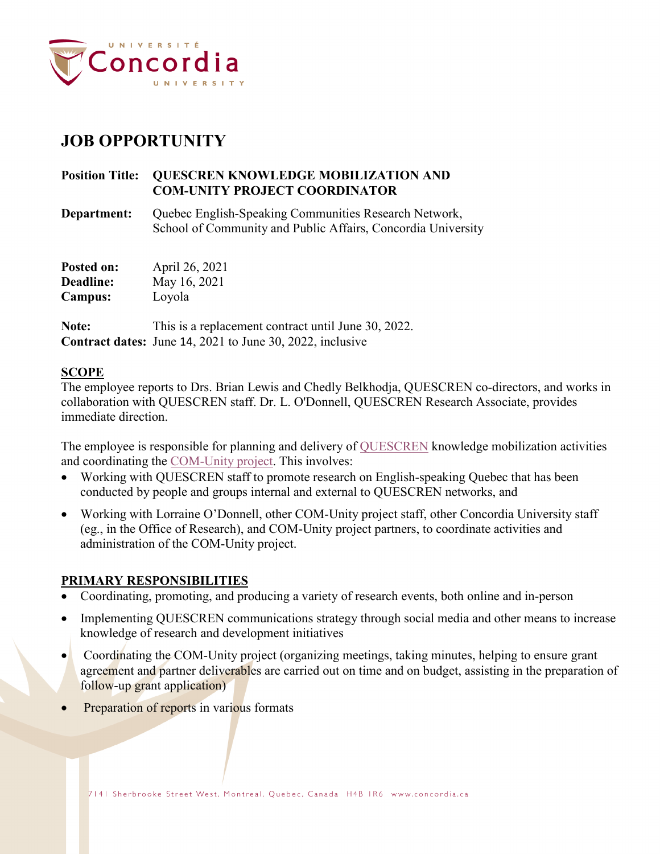

# **JOB OPPORTUNITY**

# **Position Title: QUESCREN KNOWLEDGE MOBILIZATION AND COM-UNITY PROJECT COORDINATOR**

**Department:** Quebec English-Speaking Communities Research Network, School of Community and Public Affairs, Concordia University

| Posted on:     | April 26, 2021 |
|----------------|----------------|
| Deadline:      | May 16, 2021   |
| <b>Campus:</b> | Loyola         |

Note: This is a replacement contract until June 30, 2022. **Contract dates:** June 14, 2021 to June 30, 2022, inclusive

## **SCOPE**

The employee reports to Drs. Brian Lewis and Chedly Belkhodja, QUESCREN co-directors, and works in collaboration with QUESCREN staff. Dr. L. O'Donnell, QUESCREN Research Associate, provides immediate direction.

The employee is responsible for planning and delivery of [QUESCREN](https://www.concordia.ca/artsci/scpa/quescren.html) knowledge mobilization activities and coordinating the [COM-Unity project.](https://www.concordia.ca/artsci/scpa/quescren/about/COMUnity-Project.html) This involves:

- Working with QUESCREN staff to promote research on English-speaking Quebec that has been conducted by people and groups internal and external to QUESCREN networks, and
- Working with Lorraine O'Donnell, other COM-Unity project staff, other Concordia University staff (eg., in the Office of Research), and COM-Unity project partners, to coordinate activities and administration of the COM-Unity project.

## **PRIMARY RESPONSIBILITIES**

- Coordinating, promoting, and producing a variety of research events, both online and in-person
- Implementing QUESCREN communications strategy through social media and other means to increase knowledge of research and development initiatives
- Coordinating the [COM-Unity](https://com-unity.ca/) project (organizing meetings, taking minutes, helping to ensure grant agreement and partner deliverables are carried out on time and on budget, assisting in the preparation of follow-up grant application)
- Preparation of reports in various formats